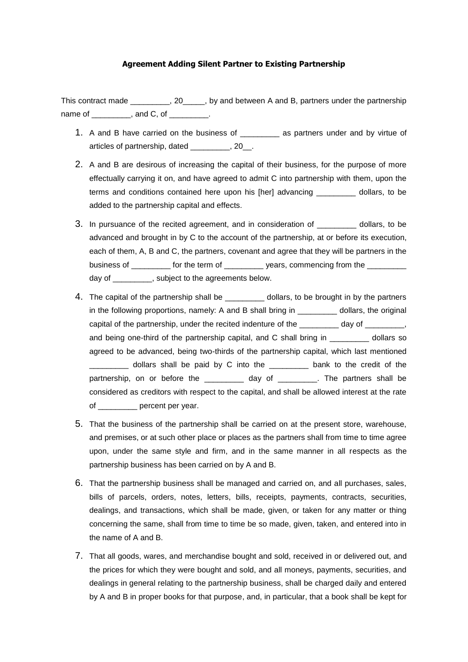## **Agreement Adding Silent Partner to Existing Partnership**

This contract made This contract made  $\sim$ , 20  $\sim$ , by and between A and B, partners under the partnership name of example and C, of the contract of  $\overline{\phantom{a}}$ .

- 1. A and B have carried on the business of \_\_\_\_\_\_\_\_\_ as partners under and by virtue of articles of partnership, dated \_\_\_\_\_\_\_\_\_, 20\_\_.
- 2. A and B are desirous of increasing the capital of their business, for the purpose of more effectually carrying it on, and have agreed to admit C into partnership with them, upon the terms and conditions contained here upon his [her] advancing \_\_\_\_\_\_\_\_\_ dollars, to be added to the partnership capital and effects.
- 3. In pursuance of the recited agreement, and in consideration of \_\_\_\_\_\_\_\_\_ dollars, to be advanced and brought in by C to the account of the partnership, at or before its execution, each of them, A, B and C, the partners, covenant and agree that they will be partners in the business of \_\_\_\_\_\_\_\_\_\_ for the term of \_\_\_\_\_\_\_\_\_\_ years, commencing from the \_\_\_\_ day of \_\_\_\_\_\_\_\_\_, subject to the agreements below.
- 4. The capital of the partnership shall be  $\qquad \qquad$  dollars, to be brought in by the partners in the following proportions, namely: A and B shall bring in dollars, the original capital of the partnership, under the recited indenture of the day of  $\qquad \qquad$ , and being one-third of the partnership capital, and C shall bring in dollars so agreed to be advanced, being two-thirds of the partnership capital, which last mentioned \_\_\_\_\_\_\_\_\_ dollars shall be paid by C into the \_\_\_\_\_\_\_\_\_ bank to the credit of the partnership, on or before the day of The partners shall be considered as creditors with respect to the capital, and shall be allowed interest at the rate of \_\_\_\_\_\_\_\_\_ percent per year.
- 5. That the business of the partnership shall be carried on at the present store, warehouse, and premises, or at such other place or places as the partners shall from time to time agree upon, under the same style and firm, and in the same manner in all respects as the partnership business has been carried on by A and B.
- 6. That the partnership business shall be managed and carried on, and all purchases, sales, bills of parcels, orders, notes, letters, bills, receipts, payments, contracts, securities, dealings, and transactions, which shall be made, given, or taken for any matter or thing concerning the same, shall from time to time be so made, given, taken, and entered into in the name of A and B.
- 7. That all goods, wares, and merchandise bought and sold, received in or delivered out, and the prices for which they were bought and sold, and all moneys, payments, securities, and dealings in general relating to the partnership business, shall be charged daily and entered by A and B in proper books for that purpose, and, in particular, that a book shall be kept for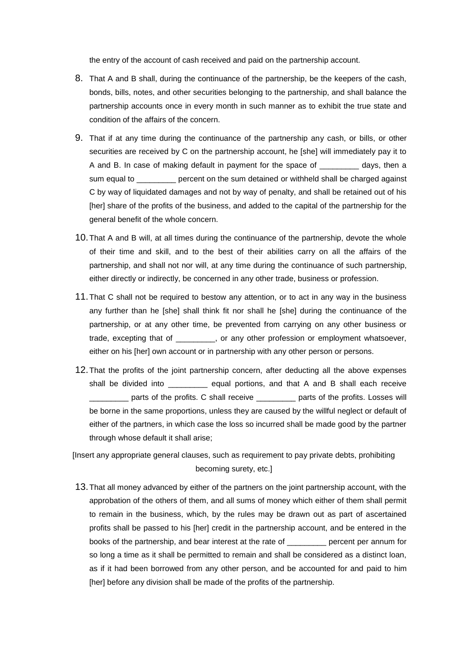the entry of the account of cash received and paid on the partnership account.

- 8. That A and B shall, during the continuance of the partnership, be the keepers of the cash, bonds, bills, notes, and other securities belonging to the partnership, and shall balance the partnership accounts once in every month in such manner as to exhibit the true state and condition of the affairs of the concern.
- 9. That if at any time during the continuance of the partnership any cash, or bills, or other securities are received by C on the partnership account, he [she] will immediately pay it to A and B. In case of making default in payment for the space of \_\_\_\_\_\_\_\_\_ days, then a sum equal to **Example 2** percent on the sum detained or withheld shall be charged against C by way of liquidated damages and not by way of penalty, and shall be retained out of his [her] share of the profits of the business, and added to the capital of the partnership for the general benefit of the whole concern.
- 10.That A and B will, at all times during the continuance of the partnership, devote the whole of their time and skill, and to the best of their abilities carry on all the affairs of the partnership, and shall not nor will, at any time during the continuance of such partnership, either directly or indirectly, be concerned in any other trade, business or profession.
- 11.That C shall not be required to bestow any attention, or to act in any way in the business any further than he [she] shall think fit nor shall he [she] during the continuance of the partnership, or at any other time, be prevented from carrying on any other business or trade, excepting that of \_\_\_\_\_\_\_\_\_, or any other profession or employment whatsoever, either on his [her] own account or in partnership with any other person or persons.
- 12.That the profits of the joint partnership concern, after deducting all the above expenses shall be divided into equal portions, and that A and B shall each receive **\_\_\_\_** parts of the profits. C shall receive \_\_\_\_\_\_\_\_ parts of the profits. Losses will be borne in the same proportions, unless they are caused by the willful neglect or default of either of the partners, in which case the loss so incurred shall be made good by the partner through whose default it shall arise;

[Insert any appropriate general clauses, such as requirement to pay private debts, prohibiting becoming surety, etc.]

13.That all money advanced by either of the partners on the joint partnership account, with the approbation of the others of them, and all sums of money which either of them shall permit to remain in the business, which, by the rules may be drawn out as part of ascertained profits shall be passed to his [her] credit in the partnership account, and be entered in the books of the partnership, and bear interest at the rate of \_\_\_\_\_\_\_\_\_ percent per annum for so long a time as it shall be permitted to remain and shall be considered as a distinct loan, as if it had been borrowed from any other person, and be accounted for and paid to him [her] before any division shall be made of the profits of the partnership.